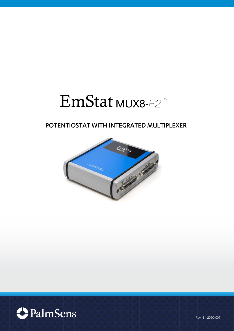# EmStat MUX8-R2

# POTENTIOSTAT WITH INTEGRATED MULTIPLEXER





Rev. 11-2020-007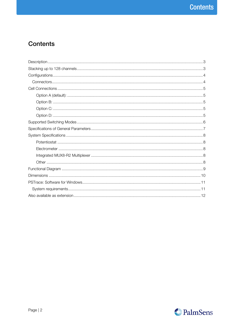# **Contents**

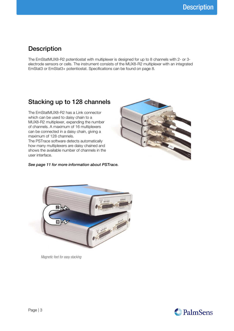### <span id="page-2-0"></span>**Description**

The EmStatMUX8-R2 potentiostat with multiplexer is designed for up to 8 channels with 2- or 3 electrode sensors or cells. The instrument consists of the MUX8-R2 multiplexer with an integrated EmStat3 or EmStat3+ potentiostat. Specifications can be found on page [8.](#page-7-0)

### <span id="page-2-1"></span>Stacking up to 128 channels

The EmStatMUX8-R2 has a Link connector which can be used to daisy chain to a MUX8-R2 multiplexer, expanding the number of channels. A maximum of 16 multiplexers can be connected in a daisy chain, giving a maximum of 128 channels.

The PSTrace software detects automatically how many multiplexers are daisy chained and shows the available number of channels in the user interface.

#### See page [11](#page-10-0) for more information about PSTrace.





*Magnetic feet for easy stacking*

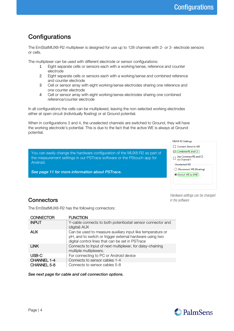# <span id="page-3-0"></span>**Configurations**

The EmStatMUX8-R2 multiplexer is designed for use up to 128 channels with 2- or 3- electrode sensors or cells.

The multiplexer can be used with different electrode or sensor configurations:

- 1 Eight separate cells or sensors each with a working/sense, reference and counter electrode
- 2 Eight separate cells or sensors each with a working/sense and combined reference and counter electrode
- 3 Cell or sensor array with eight working/sense electrodes sharing one reference and one counter electrode
- 4 Cell or sensor array with eight working/sense electrodes sharing one combined reference/counter electrode

In all configurations the cells can be multiplexed, leaving the non-selected working electrodes either at open circuit (individually floating) or at Ground potential.

When in configurations 3 and 4, the unselected channels are switched to Ground, they will have the working electrode's potential. This is due to the fact that the active WE is always at Ground potential.

You can easily change the hardware configuration of the MUX8-R2 as part of the measurement settings in our PSTrace software or the PStouch app for



*Hardware settings can be changed in the software*

### <span id="page-3-1"></span>**Connectors**

Android.

The EmStatMUX8-R2 has the following connectors:

See page [11](#page-10-0) for more information about PSTrace.

| <b>CONNECTOR</b>   | <b>FUNCTION</b>                                                                                                                                                            |
|--------------------|----------------------------------------------------------------------------------------------------------------------------------------------------------------------------|
| <b>INPUT</b>       | Y-cable connects to both potentiostat sensor connector and<br>(digital) AUX                                                                                                |
| <b>AUX</b>         | Can be used to measure auxiliary input like temperature or<br>pH, and to switch or trigger external hardware using two<br>digital control lines that can be set in PSTrace |
| <b>LINK</b>        | Connects to Input of next multiplexer, for daisy-chaining<br>multiple multiplexers.                                                                                        |
| USB-C              | For connecting to PC or Android device                                                                                                                                     |
| CHANNEL 1-4        | Connects to sensor cables 1-4                                                                                                                                              |
| <b>CHANNEL 5-8</b> | Connects to sensor cables 5-8                                                                                                                                              |

See next page for cable and cell connection options.

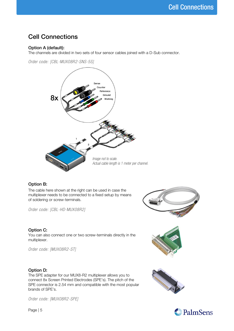## <span id="page-4-0"></span>Cell Connections

### <span id="page-4-1"></span>Option A (default):

The channels are divided in two sets of four sensor cables joined with a D-Sub connector.

*Order code: [CBL-MUX08R2-SNS-5S]*



### <span id="page-4-2"></span>Option B:

The cable here shown at the right can be used in case the multiplexer needs to be connected to a fixed setup by means of soldering or screw-terminals.

*Order code: [CBL-HD-MUX08R2]*

### <span id="page-4-3"></span>Option C:

You can also connect one or two screw-terminals directly in the multiplexer.

*Order code: [MUX08R2-ST]*

#### <span id="page-4-4"></span>Option D:

The SPE adapter for our MUX8-R2 multiplexer allows you to connect 8x Screen Printed Electrodes (SPE's). The pitch of the SPE connector is 2.54 mm and compatible with the most popular brands of SPE's.

*Order code: [MUX08R2-SPE]*









Page | 5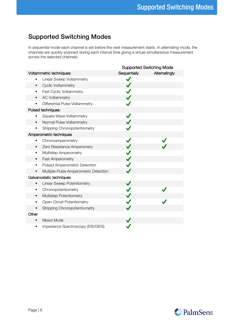# <span id="page-5-0"></span>Supported Switching Modes

In sequential mode each channel is set before the next measurement starts. In alternating mode, the channels are quickly scanned during each interval time giving a virtual-simultaneous measurement across the selected channels.

|                                             |                                       |              | <b>Supported Switching Mode</b> |
|---------------------------------------------|---------------------------------------|--------------|---------------------------------|
| Voltammetric techniques:                    |                                       | Sequentially | Alternatingly                   |
| Linear Sweep Voltammetry<br>٠               |                                       | ✓            |                                 |
| <b>Cyclic Voltammetry</b><br>$\blacksquare$ |                                       |              |                                 |
| Fast Cyclic Voltammetry<br>٠                |                                       |              |                                 |
| <b>AC Voltammetry</b><br>٠                  |                                       |              |                                 |
| Differential Pulse Voltammetry<br>٠         |                                       |              |                                 |
| Pulsed techniques:                          |                                       |              |                                 |
| <b>Square Wave Voltammetry</b>              |                                       |              |                                 |
| Normal Pulse Voltammetry<br>$\blacksquare$  |                                       |              |                                 |
| <b>Stripping Chronopotentiometry</b><br>٠   |                                       |              |                                 |
| Amperometric techniques                     |                                       |              |                                 |
| Chronoamperometry                           |                                       |              |                                 |
| Zero Resistance Amperomery<br>٠             |                                       |              |                                 |
| Multistep Amperometry<br>٠                  |                                       |              |                                 |
| Fast Amperometry<br>٠                       |                                       |              |                                 |
| Pulsed Amperometric Detection<br>٠          |                                       |              |                                 |
|                                             | Multiple-Pulse Amperometric Detection |              |                                 |
| Galvanostatic techniques                    |                                       |              |                                 |
| Linear Sweep Potentiometry<br>٠             |                                       |              |                                 |
| Chronopotentiometry<br>٠                    |                                       |              |                                 |
| Multistep Potentiometry<br>٠                |                                       |              |                                 |
| <b>Open Circuit Potentiometry</b><br>٠      |                                       |              |                                 |
| Stripping Chronopotentiometry<br>٠          |                                       |              |                                 |
| Other                                       |                                       |              |                                 |
| Mixed Mode<br>٠                             |                                       |              |                                 |
| ٠                                           | Impedance Spectroscopy (EIS/GEIS)     |              |                                 |
|                                             |                                       |              |                                 |

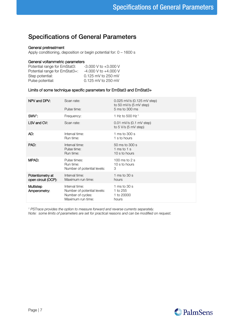### <span id="page-6-0"></span>Specifications of General Parameters

#### General pretreatment

Apply conditioning, deposition or begin potential for: 0 – 1600 s

#### General voltammetric parameters

| Potential range for EmStat3:  | $-3.000$ V to $+3.000$ V |
|-------------------------------|--------------------------|
| Potential range for EmStat3+: | $-4.000$ V to $+4.000$ V |
| Step potential:               | 0.125 mV to 250 mV       |
| Pulse potential:              | 0.125 mV to 250 mV       |

#### Limits of some technique specific parameters for EmStat3 and EmStat3+

| NPV and DPV:                            | Scan rate:<br>Pulse time:                                                               | $0.025$ mV/s $(0.125$ mV step)<br>to 50 mV/s (5 mV step)<br>5 ms to 300 ms |
|-----------------------------------------|-----------------------------------------------------------------------------------------|----------------------------------------------------------------------------|
| SWV:                                    | Frequency:                                                                              | 1 Hz to 500 Hz <sup>1</sup>                                                |
| LSV and CV:                             | Scan rate:                                                                              | $0.01$ mV/s $(0.1$ mV step)<br>to 5 V/s (5 mV step)                        |
| AD:                                     | Interval time:<br>Run time:                                                             | 1 ms to 300 s<br>1 s to hours                                              |
| PAD:                                    | Interval time:<br>Pulse time:<br>Run time:                                              | 50 ms to 300 s<br>1 ms to 1 s<br>10 s to hours                             |
| MPAD:                                   | Pulse times:<br>Run time:<br>Number of potential levels:                                | 100 ms to $2s$<br>10 s to hours<br>3                                       |
| Potentiometry at<br>open circuit (OCP): | Interval time:<br>Maximum run time:                                                     | 1 ms to 30 s<br>hours                                                      |
| Multistep<br>Amperometry:               | Interval time:<br>Number of potential levels:<br>Number of cycles:<br>Maximum run time: | 1 ms to 30 s<br>1 to 255<br>1 to 20000<br>hours                            |

<sup>1</sup> PSTrace provides the option to measure forward and reverse currents separately.

Note: some limits of parameters are set for practical reasons and can be modified on request.

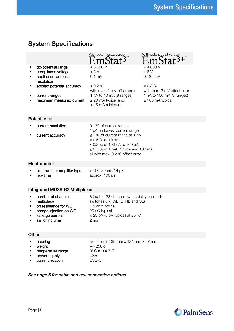# <span id="page-7-0"></span>System Specifications

<span id="page-7-1"></span>

|              |                                                                                                                                                            | With potentiostat version<br>EmStat <sup>3</sup>                                                                                                                                                                                   | With potentiostat version<br>EmStat <sup>3+</sup>                                                                                    |
|--------------|------------------------------------------------------------------------------------------------------------------------------------------------------------|------------------------------------------------------------------------------------------------------------------------------------------------------------------------------------------------------------------------------------|--------------------------------------------------------------------------------------------------------------------------------------|
| ٠<br>٠       | dc-potential range<br>compliance voltage<br>applied dc-potential<br>resolution<br>applied potential accuracy<br>current ranges<br>maximum measured current | ± 3.000 V<br>± 5V<br>$0.1$ mV<br>< 0.2 %<br>with max. 2 mV offset error<br>1 nA to 10 mA (8 ranges)<br>$\pm$ 20 mA typical and<br>$+15$ mA minimum                                                                                 | $±$ 4.000 V<br>$+ 8 V$<br>$0.125$ mV<br>$< 0.3 \%$<br>with max. 3 mV offset error<br>1 nA to 100 mA (9 ranges)<br>$±$ 100 mA typical |
| Potentiostat |                                                                                                                                                            |                                                                                                                                                                                                                                    |                                                                                                                                      |
|              | current resolution<br>current accuracy                                                                                                                     | 0.1 % of current range<br>1 pA on lowest current range<br>$\leq$ 1 % of current range at 1 nA<br>$< 0.5$ % at 10 nA<br>$<$ 0.2 % at 100 nA to 100 uA<br>$\leq$ 0.5 % at 1 mA, 10 mA and 100 mA<br>all with max, 0.2 % offset error |                                                                                                                                      |
|              | Electrometer                                                                                                                                               |                                                                                                                                                                                                                                    |                                                                                                                                      |
| ٠<br>▪       | electrometer amplifier input<br>rise time                                                                                                                  | > 100 Gohm // 4 pF<br>approx. 100 µs                                                                                                                                                                                               |                                                                                                                                      |

### <span id="page-7-3"></span><span id="page-7-2"></span>Integrated MUX8-R2 Multiplexer

| $\blacksquare$ | number of channels     | 8 (up to 128 channels when daisy chained) |
|----------------|------------------------|-------------------------------------------|
| $\blacksquare$ | multiplexer            | switches 8 x (WE, S, RE and CE)           |
| $\mathbf{r}$   | on resistance for WE   | 1.5 ohm typical                           |
| $\blacksquare$ | charge injection on WE | 20 pC typical                             |
|                | leakage current        | $<$ 20 pA (5 pA typical) at 25 °C         |
|                | switching time         | 2 <sub>ms</sub>                           |
|                |                        |                                           |

### <span id="page-7-4"></span>**Other**

|                | • housing         | aluminium: 138 mm x 121 mm x 37 mm |
|----------------|-------------------|------------------------------------|
| $\blacksquare$ | weight            | $+/- 250$ q                        |
| <b>COL</b>     | temperature range | $0^\circ$ C to $+40^\circ$ C       |
| $\blacksquare$ | power supply      | USB                                |
| $\blacksquare$ | communication     | USB-C                              |

### See page [5](#page-4-0) for cable and cell connection options

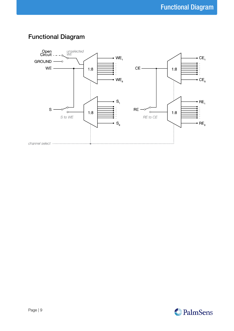

# <span id="page-8-0"></span>Functional Diagram

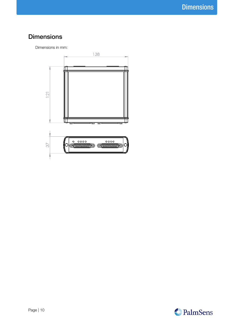# <span id="page-9-0"></span>**Dimensions**

Dimensions in mm:



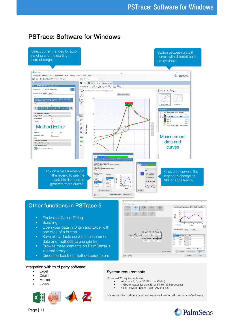### <span id="page-10-0"></span>PSTrace: Software for Windows



- Browse measurements on PalmSens4's internal storage
- **•** Direct feedback on method parameters

#### Integration with third party software:

- Excel
- Origin ▪ Matlab
- **ZView**



System requirements

 $R(RC)(RC)$ 

Minimum PC requirements are:<br>Windows 7 8 or 1

- Windows 7, 8, or 10 (32-bit or 64-bit)
- 1 GHz or faster 32-bit (x86) or 64-bit (x64) processor
- 1 GB RAM (32-bit) or 2 GB RAM (64-bit)

For more information about software visi[t www.palmsens.com/software](file:///C:/Users/Lutz%20Stratmann/PalmSensCloud/Customer%20Inquiries/User%20InquiriesArchive/Descriptions/PalmSens3/www.palmsens.com/software)

**Bikio** 

Copy Beauty



Advanced Options

 $Cos$ 

Edit Mode

Page | 11